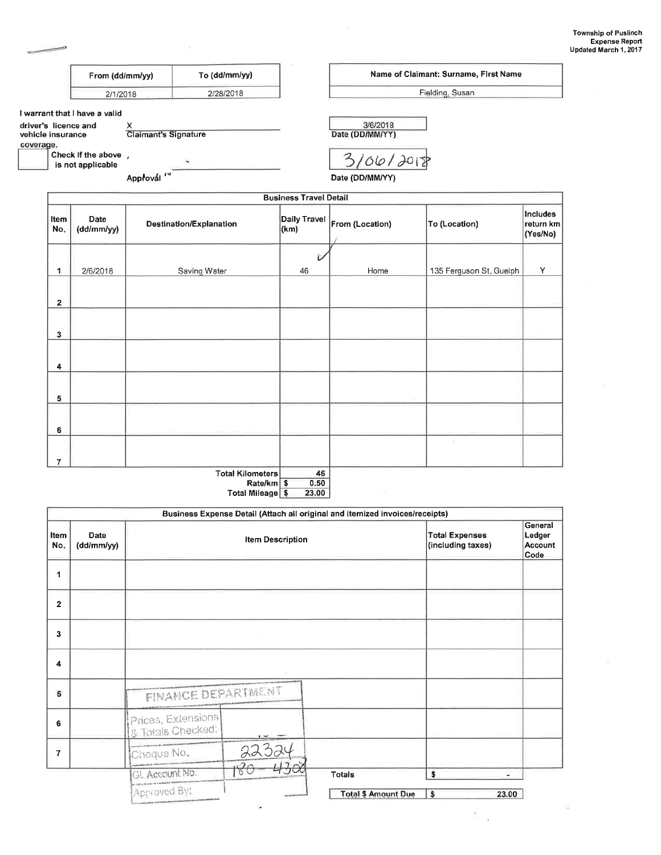|                                                        | From (dd/mm/yy)                          |                           | To (dd/mm/yy)           |                               |                             | Name of Claimant: Surname, First Name |                                   |
|--------------------------------------------------------|------------------------------------------|---------------------------|-------------------------|-------------------------------|-----------------------------|---------------------------------------|-----------------------------------|
|                                                        | 2/1/2018                                 |                           | 2/28/2018               |                               |                             | Fielding, Susan                       |                                   |
|                                                        | I warrant that I have a valid            |                           |                         |                               |                             |                                       |                                   |
| driver's licence and<br>vehicle insurance<br>coverage. |                                          | х<br>Claimant's Signature |                         |                               | 3/6/2018<br>Date (DD/MM/YY) |                                       |                                   |
|                                                        | Check if the above,<br>is not applicable |                           |                         |                               | 3/06/2018                   |                                       |                                   |
|                                                        |                                          | Approvál <sup>14</sup>    |                         |                               | Date (DD/MM/YY)             |                                       |                                   |
|                                                        |                                          |                           |                         | <b>Business Travel Detail</b> |                             |                                       |                                   |
| Item<br>No.                                            | Date<br>(dd/mm/yy)                       |                           | Destination/Explanation | Daily Travel<br>(km)          | From (Location)             | To (Location)                         | Includes<br>return km<br>(Yes/No) |
|                                                        |                                          |                           |                         | £.                            |                             |                                       |                                   |
| 1                                                      | 2/6/2018                                 |                           | Saving Water            | 46                            | Home                        | 135 Ferguson St. Guelph               | Y                                 |
| $\mathbf{z}$                                           |                                          |                           |                         |                               |                             |                                       |                                   |
| 3                                                      |                                          |                           |                         |                               |                             |                                       |                                   |
| 4                                                      |                                          |                           |                         |                               |                             |                                       |                                   |
| 5                                                      |                                          |                           |                         |                               |                             |                                       |                                   |
| 6                                                      |                                          |                           |                         |                               |                             |                                       |                                   |
| $\overline{7}$                                         |                                          |                           |                         |                               |                             | $\mathcal{L}^{\prime}$                |                                   |

 $\bar{\chi}$ 

Total Kilometers<br>Rate/km<br>Total Mileage  $\frac{46}{0.50}$ <br>23.00

|                         | Business Expense Detail (Attach all original and itemized invoices/receipts) |                                         |                         |                            |   |       |  |
|-------------------------|------------------------------------------------------------------------------|-----------------------------------------|-------------------------|----------------------------|---|-------|--|
| Item<br>No.             | Date<br>(dd/mm/yy)                                                           |                                         | <b>Item Description</b> |                            |   |       |  |
| 1                       |                                                                              |                                         |                         |                            |   |       |  |
| $\overline{\mathbf{2}}$ |                                                                              |                                         |                         |                            |   |       |  |
| 3                       |                                                                              |                                         |                         |                            |   |       |  |
| 4                       |                                                                              |                                         |                         |                            |   |       |  |
| 5                       |                                                                              | <b>FINANCE DEPARTMENT</b>               |                         |                            |   |       |  |
| 6                       |                                                                              | Prices, Extensions<br>8 Totals Checked: |                         |                            |   |       |  |
| 7                       |                                                                              | Cheque No.                              | 22324                   |                            |   |       |  |
|                         |                                                                              | GL Account No.                          |                         | <b>Totals</b>              | Ś |       |  |
|                         |                                                                              | Approved By:                            |                         | <b>Total \$ Amount Due</b> | s | 23.00 |  |
|                         |                                                                              |                                         |                         |                            |   |       |  |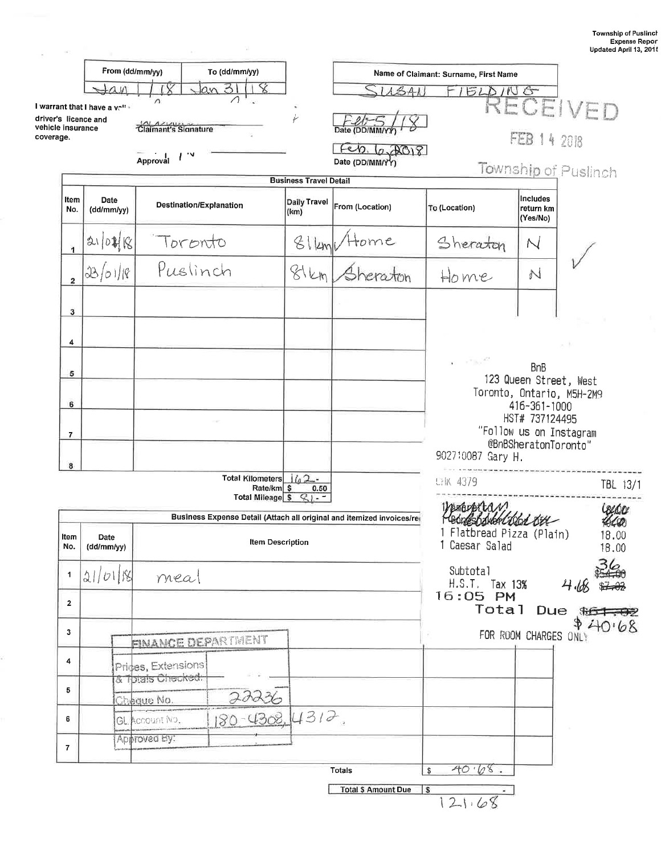|                                |                                                          |                                                 |                                                                         |                               |                                                                       |                                                               | Updated April 13,                                   |
|--------------------------------|----------------------------------------------------------|-------------------------------------------------|-------------------------------------------------------------------------|-------------------------------|-----------------------------------------------------------------------|---------------------------------------------------------------|-----------------------------------------------------|
|                                | From (dd/mm/yy)                                          |                                                 | To (dd/mm/yy)                                                           |                               |                                                                       | Name of Claimant: Surname, First Name                         |                                                     |
|                                | $\alpha$ in                                              |                                                 | 31<br>lan                                                               |                               |                                                                       | <b>ELDING</b>                                                 |                                                     |
| vehicle insurance<br>coverage. | I warrant that I have a $v^{-n}$<br>driver's licence and | $\sqrt{2}$<br>Claimant's Signature              |                                                                         | سنبج                          | Date<br>(DD/MM                                                        |                                                               | RECEIVED                                            |
|                                |                                                          | Approval                                        |                                                                         |                               | 6.708<br>Date (DD/MM/YY)                                              |                                                               | FEB 14 2018<br>Township of Puslinch                 |
|                                |                                                          |                                                 |                                                                         | <b>Business Travel Detail</b> |                                                                       |                                                               |                                                     |
| Item<br>No.                    | Date<br>(dd/mm/yy)                                       | Destination/Explanation                         |                                                                         | Daily Travel<br>(km)          | From (Location)                                                       | To (Location)                                                 | <b>Includes</b><br>return km<br>(Yes/No)            |
| 1                              | 310制图                                                    | Toronto                                         |                                                                         | $8$ lleml                     | Home                                                                  | Sheraton                                                      | N                                                   |
| $\overline{\mathbf{2}}$        | 33/01/18                                                 | Puslinch                                        |                                                                         | 81km                          |                                                                       | Home                                                          | N                                                   |
| 3                              |                                                          |                                                 |                                                                         |                               |                                                                       |                                                               |                                                     |
| 4                              |                                                          |                                                 |                                                                         |                               |                                                                       |                                                               |                                                     |
| 5                              |                                                          |                                                 |                                                                         |                               |                                                                       | $-100$                                                        | <b>BnB</b>                                          |
|                                |                                                          |                                                 |                                                                         |                               |                                                                       |                                                               | 123 Queen Street, West<br>Toronto, Ontario, M5H-2M9 |
| 6                              |                                                          |                                                 |                                                                         |                               |                                                                       |                                                               | 416-361-1000<br>HST# 737124495                      |
| $\overline{7}$                 |                                                          |                                                 |                                                                         |                               |                                                                       |                                                               | "Follow us on Instagram<br>@BnBSheratonToronto"     |
| 8                              |                                                          |                                                 |                                                                         |                               |                                                                       | 902710087 Gary H.                                             |                                                     |
|                                |                                                          |                                                 | <b>Total Kilometers</b><br>Rate/km \$<br>Total Mileage $\sqrt{2}$ / - - | $162 -$<br>0.50               |                                                                       | <b>CHK 4379</b>                                               | TBL 13/1                                            |
|                                |                                                          |                                                 |                                                                         |                               | Business Expense Detail (Attach all original and itemized invoices/re |                                                               |                                                     |
| Item<br>No.                    | Date<br>(dd/mm/yy)                                       |                                                 | <b>Item Description</b>                                                 |                               |                                                                       | SOAKGELOGALKEL<br>1 Flatbread Pizza (Plain)<br>1 Caesar Salad | 18.00<br>18.00                                      |
|                                |                                                          |                                                 |                                                                         |                               |                                                                       |                                                               |                                                     |
| $\blacktriangleleft$           | 21/0118                                                  | meal                                            |                                                                         |                               |                                                                       | Subtotal<br>H.S.T. Tax 13%                                    | 4.68                                                |
| $\overline{2}$                 |                                                          |                                                 |                                                                         |                               |                                                                       | 16:05 PM<br>Total                                             |                                                     |
| 3                              |                                                          |                                                 |                                                                         |                               |                                                                       |                                                               | Due $\frac{1}{2}$<br>FOR ROOM CHARGES ONLY          |
| 4                              |                                                          | <b>FINANCE DEPARTMENT</b><br>Prices, Extensions |                                                                         |                               |                                                                       |                                                               |                                                     |
| 5                              |                                                          | & Thtais Checked:<br>Cheque No.                 |                                                                         |                               |                                                                       |                                                               |                                                     |
| 6                              |                                                          | GL Account No.                                  | $180 - 4308, 4312$                                                      |                               |                                                                       |                                                               |                                                     |
| $\overline{7}$                 |                                                          | Approved By:                                    |                                                                         |                               |                                                                       |                                                               |                                                     |
|                                |                                                          |                                                 |                                                                         |                               | <b>Totals</b>                                                         | 40.68.<br>\$                                                  |                                                     |

÷.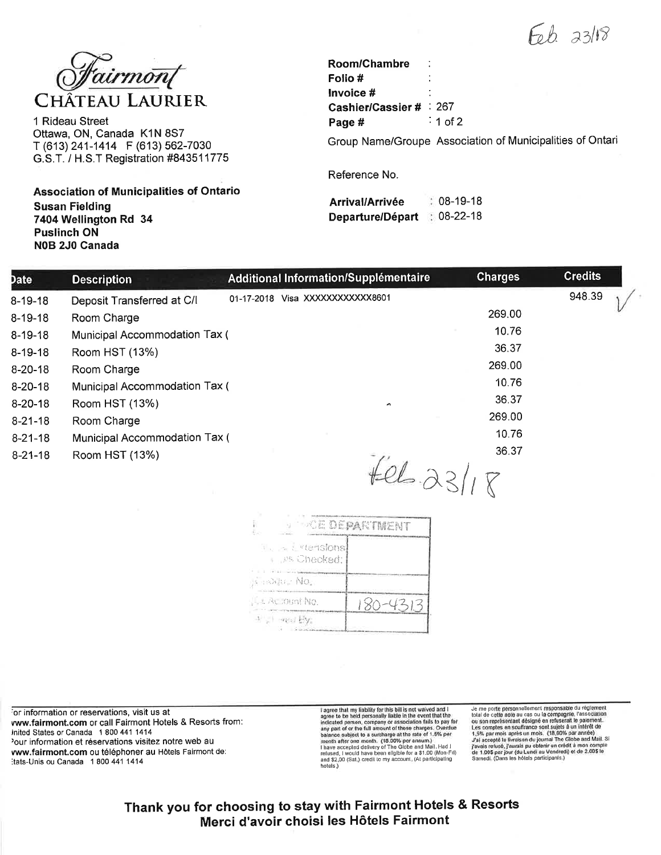$Fob$   $33/18$ 



1 Rideau Street Ottawa, ON, Canada K1N 8S7 T (613) 241-1414 F (613) 562-7030 G.S.T. / H.S.T Registration #843511775

**Association of Municipalities of Ontario Susan Fielding** 7404 Wellington Rd 34 **Puslinch ON** N0B 2J0 Canada

| Room/Chambre          |          |
|-----------------------|----------|
| Folio #               |          |
| Invoice #             |          |
| Cashier/Cassier # 267 |          |
| Page #                | ີ 1 of 2 |

Group Name/Groupe Association of Municipalities of Ontari

Reference No.

| Arrival/Arrivée  | $: 08-19-18$          |
|------------------|-----------------------|
| Departure/Départ | $\therefore$ 08-22-18 |

| Date          | <b>Description</b>            | Additional Information/Supplémentaire | <b>Charges</b> | <b>Credits</b> |
|---------------|-------------------------------|---------------------------------------|----------------|----------------|
| $8 - 19 - 18$ | Deposit Transferred at C/I    | 01-17-2018 Visa XXXXXXXXXXX8601       |                | 948.39         |
| $8 - 19 - 18$ | Room Charge                   |                                       | 269.00         |                |
| $8-19-18$     | Municipal Accommodation Tax ( |                                       | 10.76          |                |
| $8 - 19 - 18$ | Room HST (13%)                |                                       | 36.37          |                |
| $8 - 20 - 18$ | Room Charge                   |                                       | 269.00         |                |
| $8 - 20 - 18$ | Municipal Accommodation Tax ( |                                       | 10.76          |                |
| $8-20-18$     | Room HST (13%)                | $\overline{ }$                        | 36.37          |                |
| $8 - 21 - 18$ | Room Charge                   |                                       | 269.00         |                |
| $8 - 21 - 18$ | Municipal Accommodation Tax ( |                                       | 10.76          |                |
| $8 - 21 - 18$ | Room HST (13%)                |                                       | 36.37          |                |
|               |                               | $t-l-23115$                           |                |                |

|                                                                        | <b>THE DEPARTMENT</b> |
|------------------------------------------------------------------------|-----------------------|
| <b>The State Mensions</b><br><b>A RE Chackert</b><br><b>CONTRACTOR</b> |                       |
| A radiator No.                                                         |                       |
| L. Re ount No.                                                         | $80 - 4313$           |
| 2000 TOP<br>キー med By。                                                 |                       |

for information or reservations, visit us at vww.fairmont.com or call Fairmont Hotels & Resorts from: Inited States or Canada 1 800 441 1414 'our information et réservations visitez notre web au vww.fairmont.com ou téléphoner au Hôtels Fairmont de: Itats-Unis ou Canada 1 800 441 1414

I agree that my liability for this bill is not waived and I agree to be held personally liable in the event finish the principal via any part of or the full amount of these charges. Overdue balance subject to a sucharge a hotels.)

Je me porte personnellement responsable du réglement Je me porte personnellement responsable du réglement<br>total de celle notion du cas ou la compagnio, l'association<br>ou son représentant désigné en refuserait le palement.<br>Les comptes en souffrance sont sujets à un intérêt de

Thank you for choosing to stay with Fairmont Hotels & Resorts Merci d'avoir choisi les Hôtels Fairmont